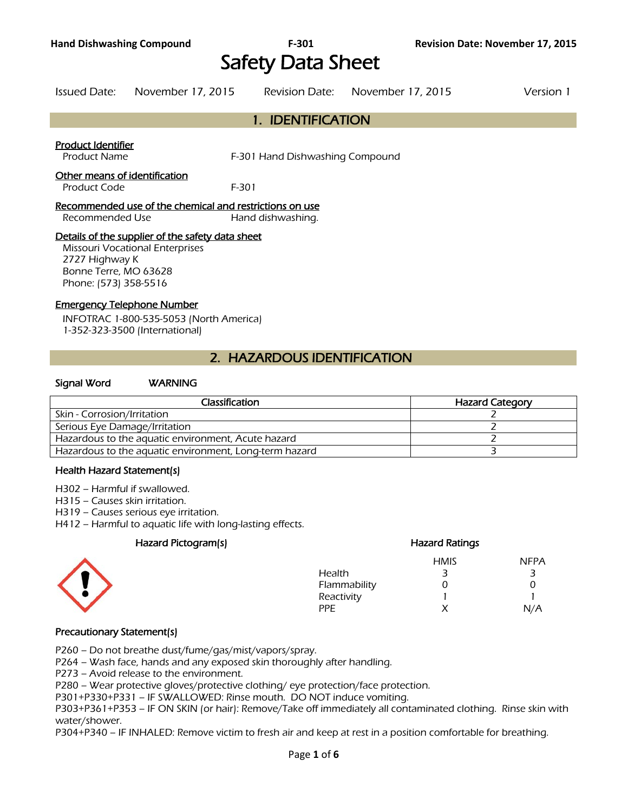# Safety Data Sheet

#### Issued Date: November 17, 2015 Revision Date: November 17, 2015 Version 1

# 1. IDENTIFICATION

#### Product Identifier

Product Name F-301 Hand Dishwashing Compound

#### Other means of identification

Product Code F-301

#### Recommended use of the chemical and restrictions on use Recommended Use Hand dishwashing.

#### Details of the supplier of the safety data sheet

Missouri Vocational Enterprises 2727 Highway K Bonne Terre, MO 63628 Phone: (573) 358-5516

#### Emergency Telephone Number

INFOTRAC 1-800-535-5053 (North America) 1-352-323-3500 (International)

# 2. HAZARDOUS IDENTIFICATION

#### Signal Word WARNING

| Classification                                         | <b>Hazard Category</b> |
|--------------------------------------------------------|------------------------|
| Skin - Corrosion/Irritation                            |                        |
| Serious Eye Damage/Irritation                          |                        |
| Hazardous to the aquatic environment, Acute hazard     |                        |
| Hazardous to the aquatic environment, Long-term hazard |                        |
|                                                        |                        |

#### Health Hazard Statement(s)

- H302 Harmful if swallowed.
- H315 Causes skin irritation.
- H319 Causes serious eye irritation.
- H412 Harmful to aquatic life with long-lasting effects.

#### Hazard Pictogram(s) Hazard Ratings



# HMIS NFPA Health 3 3 3 Flammability 0 0 Reactivity 1 1 PPE X N/A

#### Precautionary Statement(s)

P260 – Do not breathe dust/fume/gas/mist/vapors/spray.

P264 – Wash face, hands and any exposed skin thoroughly after handling.

P273 – Avoid release to the environment.

P280 – Wear protective gloves/protective clothing/ eye protection/face protection.

P301+P330+P331 – IF SWALLOWED: Rinse mouth. DO NOT induce vomiting.

P303+P361+P353 – IF ON SKIN (or hair): Remove/Take off immediately all contaminated clothing. Rinse skin with water/shower.

P304+P340 – IF INHALED: Remove victim to fresh air and keep at rest in a position comfortable for breathing.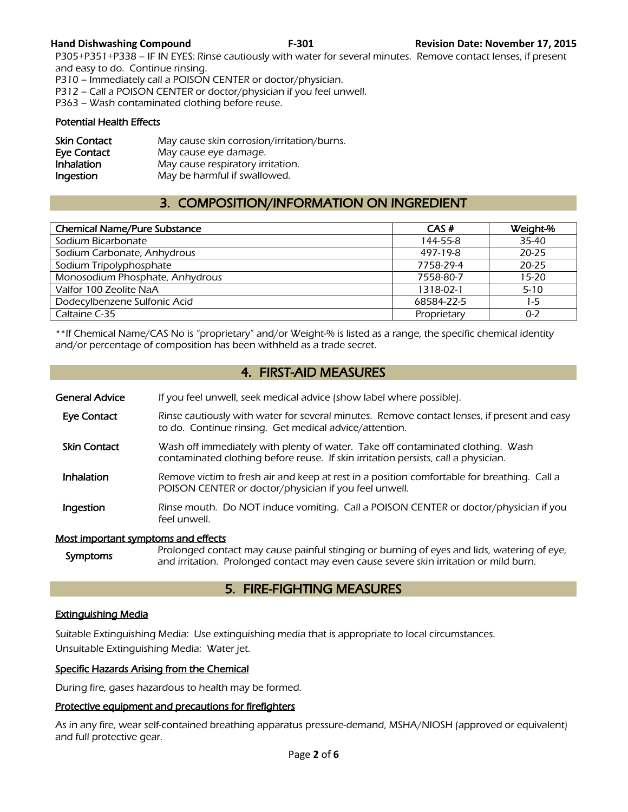P305+P351+P338 – IF IN EYES: Rinse cautiously with water for several minutes. Remove contact lenses, if present and easy to do. Continue rinsing.

P310 – Immediately call a POISON CENTER or doctor/physician.

P312 – Call a POISON CENTER or doctor/physician if you feel unwell.

P363 – Wash contaminated clothing before reuse.

#### Potential Health Effects

| <b>Skin Contact</b> | May cause skin corrosion/irritation/burns. |
|---------------------|--------------------------------------------|
| Eye Contact         | May cause eye damage.                      |
| Inhalation          | May cause respiratory irritation.          |
| Ingestion           | May be harmful if swallowed.               |

# 3. COMPOSITION/INFORMATION ON INGREDIENT

| <b>Chemical Name/Pure Substance</b> | CAS#        | Weight-%  |
|-------------------------------------|-------------|-----------|
| Sodium Bicarbonate                  | 144-55-8    | 35-40     |
| Sodium Carbonate, Anhydrous         | 497-19-8    | $20 - 25$ |
| Sodium Tripolyphosphate             | 7758-29-4   | $20 - 25$ |
| Monosodium Phosphate, Anhydrous     | 7558-80-7   | $15 - 20$ |
| Valfor 100 Zeolite NaA              | 1318-02-1   | $5 - 10$  |
| Dodecylbenzene Sulfonic Acid        | 68584-22-5  | $1-5$     |
| Caltaine C-35                       | Proprietary | $0 - 2$   |
|                                     |             |           |

\*\*If Chemical Name/CAS No is "proprietary" and/or Weight-% is listed as a range, the specific chemical identity and/or percentage of composition has been withheld as a trade secret.

# 4. FIRST-AID MEASURES

| <b>General Advice</b>               | If you feel unwell, seek medical advice (show label where possible).                                                                                                                |
|-------------------------------------|-------------------------------------------------------------------------------------------------------------------------------------------------------------------------------------|
| <b>Eye Contact</b>                  | Rinse cautiously with water for several minutes. Remove contact lenses, if present and easy<br>to do. Continue rinsing. Get medical advice/attention.                               |
| <b>Skin Contact</b>                 | Wash off immediately with plenty of water. Take off contaminated clothing. Wash<br>contaminated clothing before reuse. If skin irritation persists, call a physician.               |
| <b>Inhalation</b>                   | Remove victim to fresh air and keep at rest in a position comfortable for breathing. Call a<br>POISON CENTER or doctor/physician if you feel unwell.                                |
| Ingestion                           | Rinse mouth. Do NOT induce vomiting. Call a POISON CENTER or doctor/physician if you<br>feel unwell.                                                                                |
| Most important symptoms and effects |                                                                                                                                                                                     |
| <b>Symptoms</b>                     | Prolonged contact may cause painful stinging or burning of eyes and lids, watering of eye,<br>and irritation. Prolonged contact may even cause severe skin irritation or mild burn. |

# 5. FIRE-FIGHTING MEASURES

### Extinguishing Media

Suitable Extinguishing Media: Use extinguishing media that is appropriate to local circumstances. Unsuitable Extinguishing Media: Water jet.

#### Specific Hazards Arising from the Chemical

During fire, gases hazardous to health may be formed.

#### Protective equipment and precautions for firefighters

As in any fire, wear self-contained breathing apparatus pressure-demand, MSHA/NIOSH (approved or equivalent) and full protective gear.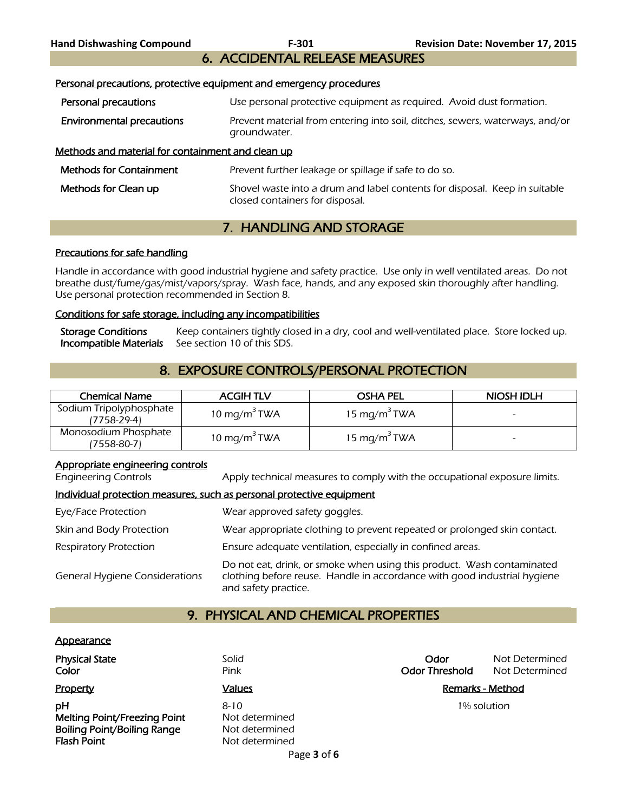# 6. ACCIDENTAL RELEASE MEASURES

|  | Personal precautions, protective equipment and emergency procedures |  |
|--|---------------------------------------------------------------------|--|
|  |                                                                     |  |

- **Personal precautions** Use personal protective equipment as required. Avoid dust formation.
- Environmental precautions **Prevent material from entering into soil, ditches, sewers, waterways, and/or** groundwater.

#### Methods and material for containment and clean up

| <b>Methods for Containment</b> | Prevent further leakage or spillage if safe to do so.                                                         |
|--------------------------------|---------------------------------------------------------------------------------------------------------------|
| Methods for Clean up           | Shovel waste into a drum and label contents for disposal. Keep in suitable<br>closed containers for disposal. |

# 7. HANDLING AND STORAGE

#### Precautions for safe handling

Handle in accordance with good industrial hygiene and safety practice. Use only in well ventilated areas. Do not breathe dust/fume/gas/mist/vapors/spray. Wash face, hands, and any exposed skin thoroughly after handling. Use personal protection recommended in Section 8.

#### Conditions for safe storage, including any incompatibilities

| <b>Storage Conditions</b> | Keep containers tightly closed in a dry, cool and well-ventilated place. Store locked up. |  |
|---------------------------|-------------------------------------------------------------------------------------------|--|
|                           | <b>Incompatible Materials</b> See section 10 of this SDS.                                 |  |

# 8. EXPOSURE CONTROLS/PERSONAL PROTECTION

| <b>Chemical Name</b>                   | <b>ACGIHTLV</b>          | <b>OSHA PEL</b>          | NIOSH IDLH |
|----------------------------------------|--------------------------|--------------------------|------------|
| Sodium Tripolyphosphate<br>(7758-29-4) | 10 mg/m <sup>3</sup> TWA | 15 mg/m <sup>3</sup> TWA | -          |
| Monosodium Phosphate<br>'7558-80-7)    | 10 mg/m <sup>3</sup> TWA | 15 mg/m <sup>3</sup> TWA | -          |

#### Appropriate engineering controls

Engineering Controls Apply technical measures to comply with the occupational exposure limits.

#### Individual protection measures, such as personal protective equipment

| Eye/Face Protection                   | Wear approved safety goggles.                                                                                                                                              |
|---------------------------------------|----------------------------------------------------------------------------------------------------------------------------------------------------------------------------|
| Skin and Body Protection              | Wear appropriate clothing to prevent repeated or prolonged skin contact.                                                                                                   |
| <b>Respiratory Protection</b>         | Ensure adequate ventilation, especially in confined areas.                                                                                                                 |
| <b>General Hygiene Considerations</b> | Do not eat, drink, or smoke when using this product. Wash contaminated<br>clothing before reuse. Handle in accordance with good industrial hygiene<br>and safety practice. |

# 9. PHYSICAL AND CHEMICAL PROPERTIES

#### **Appearance**

| <b>Physical State</b><br>Color                                                                 | Solid<br>Pink                                                  | Odor<br><b>Odor Threshold</b> | Not Determined<br>Not Determined |
|------------------------------------------------------------------------------------------------|----------------------------------------------------------------|-------------------------------|----------------------------------|
| <b>Property</b>                                                                                | <b>Values</b>                                                  |                               | Remarks - Method                 |
| pH<br>Melting Point/Freezing Point<br><b>Boiling Point/Boiling Range</b><br><b>Flash Point</b> | $8 - 10$<br>Not determined<br>Not determined<br>Not determined |                               | 1% solution                      |
|                                                                                                | Page 3 of 6                                                    |                               |                                  |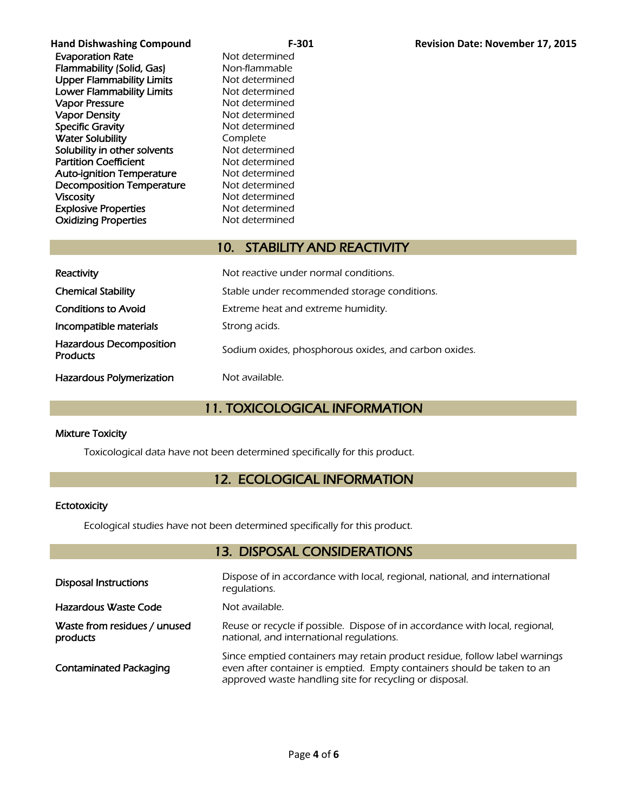| <b>Hand Dishwashing Compound</b> | $F-301$        | <b>Revision Date: November 17, 2015</b> |
|----------------------------------|----------------|-----------------------------------------|
| <b>Evaporation Rate</b>          | Not determined |                                         |
| Flammability (Solid, Gas)        | Non-flammable  |                                         |
| <b>Upper Flammability Limits</b> | Not determined |                                         |
| <b>Lower Flammability Limits</b> | Not determined |                                         |
| <b>Vapor Pressure</b>            | Not determined |                                         |
| <b>Vapor Density</b>             | Not determined |                                         |
| <b>Specific Gravity</b>          | Not determined |                                         |
| <b>Water Solubility</b>          | Complete       |                                         |
| Solubility in other solvents     | Not determined |                                         |
| <b>Partition Coefficient</b>     | Not determined |                                         |
| <b>Auto-ignition Temperature</b> | Not determined |                                         |
| <b>Decomposition Temperature</b> | Not determined |                                         |
| <b>Viscosity</b>                 | Not determined |                                         |
| <b>Explosive Properties</b>      | Not determined |                                         |
| <b>Oxidizing Properties</b>      | Not determined |                                         |

# 10. STABILITY AND REACTIVITY

| Reactivity                                        | Not reactive under normal conditions.                 |
|---------------------------------------------------|-------------------------------------------------------|
| <b>Chemical Stability</b>                         | Stable under recommended storage conditions.          |
| <b>Conditions to Avoid</b>                        | Extreme heat and extreme humidity.                    |
| Incompatible materials                            | Strong acids.                                         |
| <b>Hazardous Decomposition</b><br><b>Products</b> | Sodium oxides, phosphorous oxides, and carbon oxides. |
| <b>Hazardous Polymerization</b>                   | Not available.                                        |

# 11. TOXICOLOGICAL INFORMATION

#### Mixture Toxicity

Toxicological data have not been determined specifically for this product.

# 12. ECOLOGICAL INFORMATION

#### **Ectotoxicity**

Ecological studies have not been determined specifically for this product.

# 13. DISPOSAL CONSIDERATIONS

| <b>Disposal Instructions</b>             | Dispose of in accordance with local, regional, national, and international<br>regulations.                                                                                                                       |
|------------------------------------------|------------------------------------------------------------------------------------------------------------------------------------------------------------------------------------------------------------------|
| Hazardous Waste Code                     | Not available.                                                                                                                                                                                                   |
| Waste from residues / unused<br>products | Reuse or recycle if possible. Dispose of in accordance with local, regional,<br>national, and international regulations.                                                                                         |
| <b>Contaminated Packaging</b>            | Since emptied containers may retain product residue, follow label warnings<br>even after container is emptied. Empty containers should be taken to an<br>approved waste handling site for recycling or disposal. |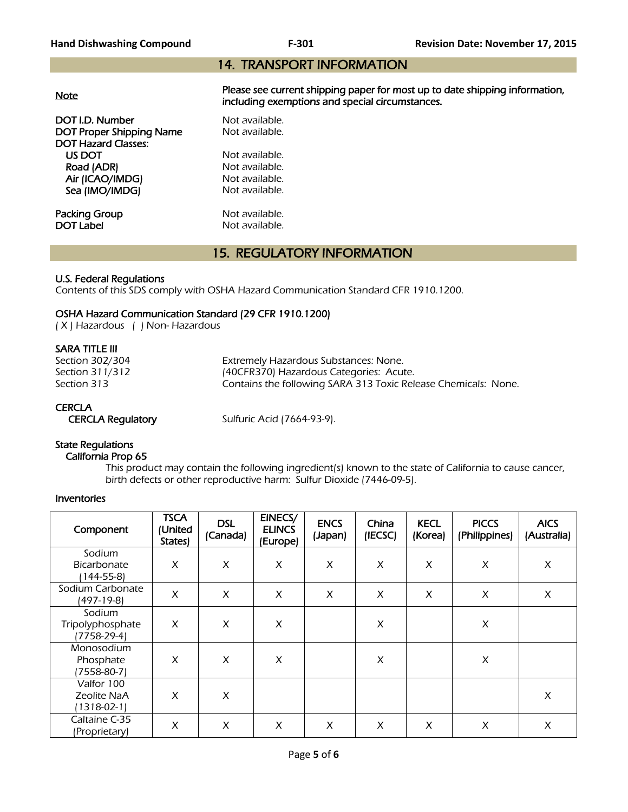# 14. TRANSPORT INFORMATION

| <b>Note</b>                     | Please see current shipping paper for most up to date shipping information,<br>including exemptions and special circumstances. |  |  |  |  |
|---------------------------------|--------------------------------------------------------------------------------------------------------------------------------|--|--|--|--|
| DOT I.D. Number                 | Not available.                                                                                                                 |  |  |  |  |
| <b>DOT Proper Shipping Name</b> | Not available.                                                                                                                 |  |  |  |  |
| <b>DOT Hazard Classes:</b>      |                                                                                                                                |  |  |  |  |
| US DOT                          | Not available.                                                                                                                 |  |  |  |  |
| Road (ADR)                      | Not available.                                                                                                                 |  |  |  |  |
| Air (ICAO/IMDG)                 | Not available.                                                                                                                 |  |  |  |  |
| Sea (IMO/IMDG)                  | Not available.                                                                                                                 |  |  |  |  |
|                                 |                                                                                                                                |  |  |  |  |
| Packing Group                   | Not available.                                                                                                                 |  |  |  |  |
| <b>DOT Label</b>                | Not available.                                                                                                                 |  |  |  |  |

# 15. REGULATORY INFORMATION

#### U.S. Federal Regulations

Contents of this SDS comply with OSHA Hazard Communication Standard CFR 1910.1200.

#### OSHA Hazard Communication Standard (29 CFR 1910.1200)

( X ) Hazardous ( ) Non- Hazardous

#### SARA TITLE III

| Section 302/304 | Extremely Hazardous Substances: None.                          |
|-----------------|----------------------------------------------------------------|
| Section 311/312 | (40CFR370) Hazardous Categories: Acute.                        |
| Section 313     | Contains the following SARA 313 Toxic Release Chemicals: None. |

## **CERCLA**

CERCLA Regulatory Sulfuric Acid (7664-93-9).

# State Regulations

#### California Prop 65

 This product may contain the following ingredient(s) known to the state of California to cause cancer, birth defects or other reproductive harm: Sulfur Dioxide (7446-09-5).

#### Inventories

| Component                                    | <b>TSCA</b><br>(United<br>States) | <b>DSL</b><br>(Canada) | EINECS/<br><b>ELINCS</b><br>(Europe) | <b>ENCS</b><br>(Japan) | China<br>(IECSC) | <b>KECL</b><br>(Korea) | <b>PICCS</b><br>(Philippines) | <b>AICS</b><br>(Australia) |
|----------------------------------------------|-----------------------------------|------------------------|--------------------------------------|------------------------|------------------|------------------------|-------------------------------|----------------------------|
| Sodium<br><b>Bicarbonate</b><br>$(144-55-8)$ | X                                 | X                      | X                                    | X                      | X                | X                      | X                             | X                          |
| Sodium Carbonate<br>(497-19-8)               | X                                 | X                      | X                                    | X                      | X                | X                      | X                             | X                          |
| Sodium<br>Tripolyphosphate<br>$(7758-29-4)$  | X                                 | X                      | X                                    |                        | X                |                        | X                             |                            |
| Monosodium<br>Phosphate<br>$(7558-80-7)$     | X                                 | X                      | X                                    |                        | X                |                        | X                             |                            |
| Valfor 100<br>Zeolite NaA<br>$1318-02-1$     | X                                 | X                      |                                      |                        |                  |                        |                               | $\pmb{\times}$             |
| Caltaine C-35<br>(Proprietary)               | X                                 | X                      | X                                    | X                      | X                | X                      | X                             | X                          |